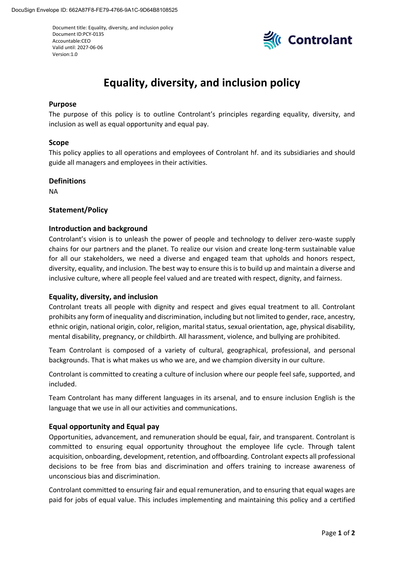Document title: Equality, diversity, and inclusion policy Document ID:PCY-0135 Accountable:CEO Valid until: 2027-06-06 Version:1.0



# **Equality, diversity, and inclusion policy**

# **Purpose**

The purpose of this policy is to outline Controlant's principles regarding equality, diversity, and inclusion as well as equal opportunity and equal pay.

## **Scope**

This policy applies to all operations and employees of Controlant hf. and its subsidiaries and should guide all managers and employees in their activities.

## **Definitions**

NA

# **Statement/Policy**

## **Introduction and background**

Controlant's vision is to unleash the power of people and technology to deliver zero-waste supply chains for our partners and the planet. To realize our vision and create long-term sustainable value for all our stakeholders, we need a diverse and engaged team that upholds and honors respect, diversity, equality, and inclusion. The best way to ensure this is to build up and maintain a diverse and inclusive culture, where all people feel valued and are treated with respect, dignity, and fairness.

#### **Equality, diversity, and inclusion**

Controlant treats all people with dignity and respect and gives equal treatment to all. Controlant prohibits any form of inequality and discrimination, including but not limited to gender, race, ancestry, ethnic origin, national origin, color, religion, marital status, sexual orientation, age, physical disability, mental disability, pregnancy, or childbirth. All harassment, violence, and bullying are prohibited.

Team Controlant is composed of a variety of cultural, geographical, professional, and personal backgrounds. That is what makes us who we are, and we champion diversity in our culture.

Controlant is committed to creating a culture of inclusion where our people feel safe, supported, and included.

Team Controlant has many different languages in its arsenal, and to ensure inclusion English is the language that we use in all our activities and communications.

#### **Equal opportunity and Equal pay**

Opportunities, advancement, and remuneration should be equal, fair, and transparent. Controlant is committed to ensuring equal opportunity throughout the employee life cycle. Through talent acquisition, onboarding, development, retention, and offboarding. Controlant expects all professional decisions to be free from bias and discrimination and offers training to increase awareness of unconscious bias and discrimination.

Controlant committed to ensuring fair and equal remuneration, and to ensuring that equal wages are paid for jobs of equal value. This includes implementing and maintaining this policy and a certified